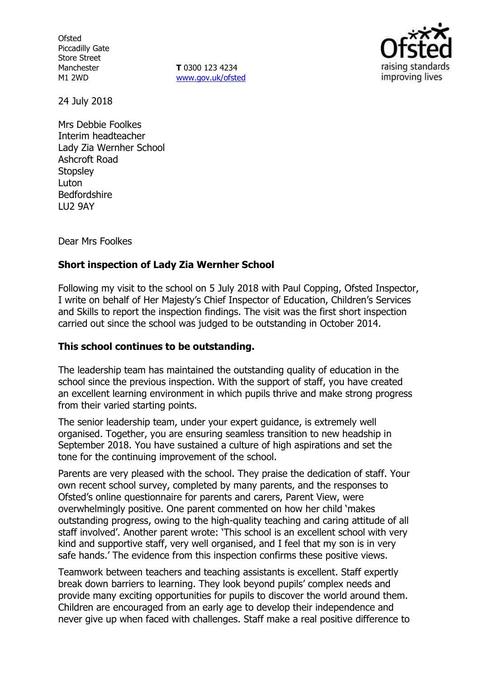**Ofsted** Piccadilly Gate Store Street Manchester M1 2WD

**T** 0300 123 4234 www.gov.uk/ofsted



24 July 2018

Mrs Debbie Foolkes Interim headteacher Lady Zia Wernher School Ashcroft Road **Stopsley** Luton Bedfordshire LU2 9AY

Dear Mrs Foolkes

# **Short inspection of Lady Zia Wernher School**

Following my visit to the school on 5 July 2018 with Paul Copping, Ofsted Inspector, I write on behalf of Her Majesty's Chief Inspector of Education, Children's Services and Skills to report the inspection findings. The visit was the first short inspection carried out since the school was judged to be outstanding in October 2014.

### **This school continues to be outstanding.**

The leadership team has maintained the outstanding quality of education in the school since the previous inspection. With the support of staff, you have created an excellent learning environment in which pupils thrive and make strong progress from their varied starting points.

The senior leadership team, under your expert guidance, is extremely well organised. Together, you are ensuring seamless transition to new headship in September 2018. You have sustained a culture of high aspirations and set the tone for the continuing improvement of the school.

Parents are very pleased with the school. They praise the dedication of staff. Your own recent school survey, completed by many parents, and the responses to Ofsted's online questionnaire for parents and carers, Parent View, were overwhelmingly positive. One parent commented on how her child 'makes outstanding progress, owing to the high-quality teaching and caring attitude of all staff involved'. Another parent wrote: 'This school is an excellent school with very kind and supportive staff, very well organised, and I feel that my son is in very safe hands.' The evidence from this inspection confirms these positive views.

Teamwork between teachers and teaching assistants is excellent. Staff expertly break down barriers to learning. They look beyond pupils' complex needs and provide many exciting opportunities for pupils to discover the world around them. Children are encouraged from an early age to develop their independence and never give up when faced with challenges. Staff make a real positive difference to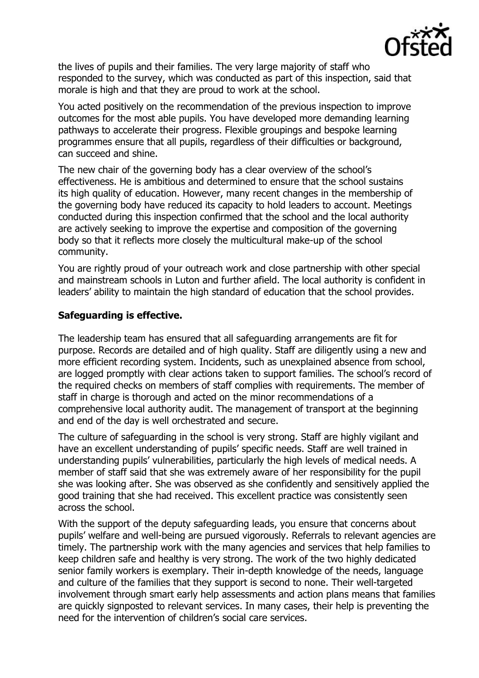

the lives of pupils and their families. The very large majority of staff who responded to the survey, which was conducted as part of this inspection, said that morale is high and that they are proud to work at the school.

You acted positively on the recommendation of the previous inspection to improve outcomes for the most able pupils. You have developed more demanding learning pathways to accelerate their progress. Flexible groupings and bespoke learning programmes ensure that all pupils, regardless of their difficulties or background, can succeed and shine.

The new chair of the governing body has a clear overview of the school's effectiveness. He is ambitious and determined to ensure that the school sustains its high quality of education. However, many recent changes in the membership of the governing body have reduced its capacity to hold leaders to account. Meetings conducted during this inspection confirmed that the school and the local authority are actively seeking to improve the expertise and composition of the governing body so that it reflects more closely the multicultural make-up of the school community.

You are rightly proud of your outreach work and close partnership with other special and mainstream schools in Luton and further afield. The local authority is confident in leaders' ability to maintain the high standard of education that the school provides.

### **Safeguarding is effective.**

The leadership team has ensured that all safeguarding arrangements are fit for purpose. Records are detailed and of high quality. Staff are diligently using a new and more efficient recording system. Incidents, such as unexplained absence from school, are logged promptly with clear actions taken to support families. The school's record of the required checks on members of staff complies with requirements. The member of staff in charge is thorough and acted on the minor recommendations of a comprehensive local authority audit. The management of transport at the beginning and end of the day is well orchestrated and secure.

The culture of safeguarding in the school is very strong. Staff are highly vigilant and have an excellent understanding of pupils' specific needs. Staff are well trained in understanding pupils' vulnerabilities, particularly the high levels of medical needs. A member of staff said that she was extremely aware of her responsibility for the pupil she was looking after. She was observed as she confidently and sensitively applied the good training that she had received. This excellent practice was consistently seen across the school.

With the support of the deputy safeguarding leads, you ensure that concerns about pupils' welfare and well-being are pursued vigorously. Referrals to relevant agencies are timely. The partnership work with the many agencies and services that help families to keep children safe and healthy is very strong. The work of the two highly dedicated senior family workers is exemplary. Their in-depth knowledge of the needs, language and culture of the families that they support is second to none. Their well-targeted involvement through smart early help assessments and action plans means that families are quickly signposted to relevant services. In many cases, their help is preventing the need for the intervention of children's social care services.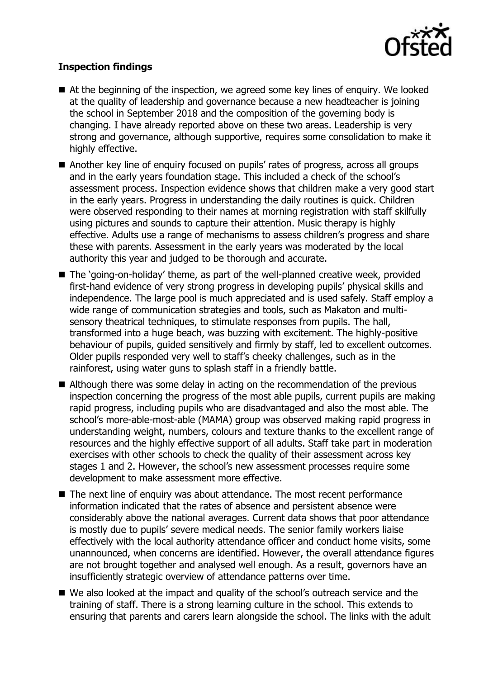

# **Inspection findings**

- At the beginning of the inspection, we agreed some key lines of enguiry. We looked at the quality of leadership and governance because a new headteacher is joining the school in September 2018 and the composition of the governing body is changing. I have already reported above on these two areas. Leadership is very strong and governance, although supportive, requires some consolidation to make it highly effective.
- Another key line of enquiry focused on pupils' rates of progress, across all groups and in the early years foundation stage. This included a check of the school's assessment process. Inspection evidence shows that children make a very good start in the early years. Progress in understanding the daily routines is quick. Children were observed responding to their names at morning registration with staff skilfully using pictures and sounds to capture their attention. Music therapy is highly effective. Adults use a range of mechanisms to assess children's progress and share these with parents. Assessment in the early years was moderated by the local authority this year and judged to be thorough and accurate.
- The 'going-on-holiday' theme, as part of the well-planned creative week, provided first-hand evidence of very strong progress in developing pupils' physical skills and independence. The large pool is much appreciated and is used safely. Staff employ a wide range of communication strategies and tools, such as Makaton and multisensory theatrical techniques, to stimulate responses from pupils. The hall, transformed into a huge beach, was buzzing with excitement. The highly-positive behaviour of pupils, guided sensitively and firmly by staff, led to excellent outcomes. Older pupils responded very well to staff's cheeky challenges, such as in the rainforest, using water guns to splash staff in a friendly battle.
- Although there was some delay in acting on the recommendation of the previous inspection concerning the progress of the most able pupils, current pupils are making rapid progress, including pupils who are disadvantaged and also the most able. The school's more-able-most-able (MAMA) group was observed making rapid progress in understanding weight, numbers, colours and texture thanks to the excellent range of resources and the highly effective support of all adults. Staff take part in moderation exercises with other schools to check the quality of their assessment across key stages 1 and 2. However, the school's new assessment processes require some development to make assessment more effective.
- The next line of enquiry was about attendance. The most recent performance information indicated that the rates of absence and persistent absence were considerably above the national averages. Current data shows that poor attendance is mostly due to pupils' severe medical needs. The senior family workers liaise effectively with the local authority attendance officer and conduct home visits, some unannounced, when concerns are identified. However, the overall attendance figures are not brought together and analysed well enough. As a result, governors have an insufficiently strategic overview of attendance patterns over time.
- We also looked at the impact and quality of the school's outreach service and the training of staff. There is a strong learning culture in the school. This extends to ensuring that parents and carers learn alongside the school. The links with the adult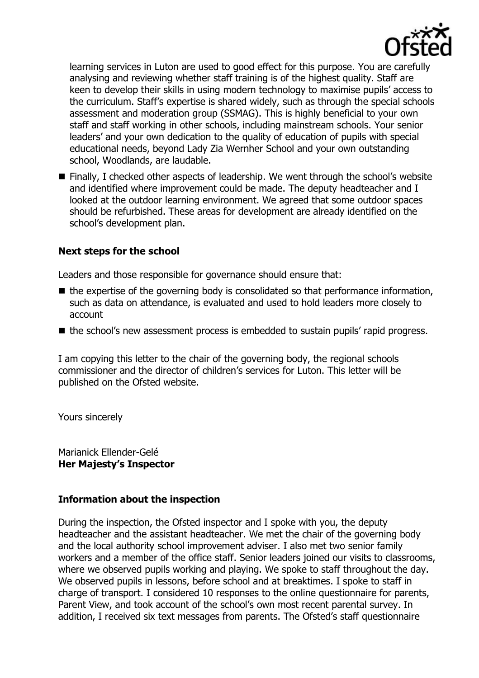

learning services in Luton are used to good effect for this purpose. You are carefully analysing and reviewing whether staff training is of the highest quality. Staff are keen to develop their skills in using modern technology to maximise pupils' access to the curriculum. Staff's expertise is shared widely, such as through the special schools assessment and moderation group (SSMAG). This is highly beneficial to your own staff and staff working in other schools, including mainstream schools. Your senior leaders' and your own dedication to the quality of education of pupils with special educational needs, beyond Lady Zia Wernher School and your own outstanding school, Woodlands, are laudable.

■ Finally, I checked other aspects of leadership. We went through the school's website and identified where improvement could be made. The deputy headteacher and I looked at the outdoor learning environment. We agreed that some outdoor spaces should be refurbished. These areas for development are already identified on the school's development plan.

### **Next steps for the school**

Leaders and those responsible for governance should ensure that:

- $\blacksquare$  the expertise of the governing body is consolidated so that performance information, such as data on attendance, is evaluated and used to hold leaders more closely to account
- the school's new assessment process is embedded to sustain pupils' rapid progress.

I am copying this letter to the chair of the governing body, the regional schools commissioner and the director of children's services for Luton. This letter will be published on the Ofsted website.

Yours sincerely

Marianick Ellender-Gelé **Her Majesty's Inspector**

### **Information about the inspection**

During the inspection, the Ofsted inspector and I spoke with you, the deputy headteacher and the assistant headteacher. We met the chair of the governing body and the local authority school improvement adviser. I also met two senior family workers and a member of the office staff. Senior leaders joined our visits to classrooms, where we observed pupils working and playing. We spoke to staff throughout the day. We observed pupils in lessons, before school and at breaktimes. I spoke to staff in charge of transport. I considered 10 responses to the online questionnaire for parents, Parent View, and took account of the school's own most recent parental survey. In addition, I received six text messages from parents. The Ofsted's staff questionnaire